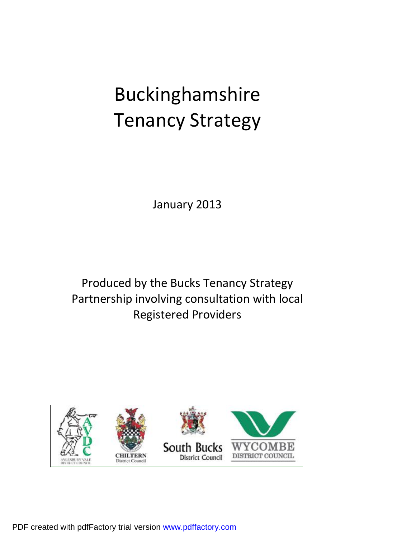# Buckinghamshire Tenancy Strategy

January 2013

Produced by the Bucks Tenancy Strategy Partnership involving consultation with local Registered Providers

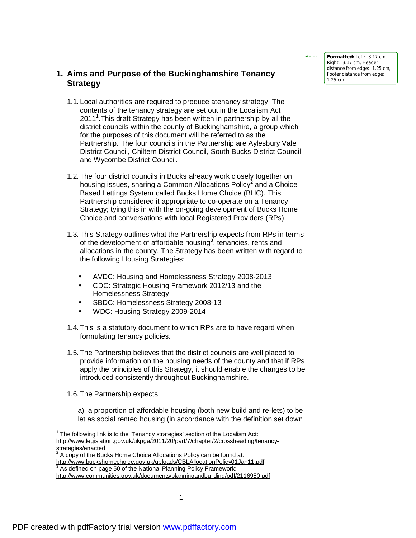### **1. Aims and Purpose of the Buckinghamshire Tenancy Strategy**

- 1.1. Local authorities are required to produce atenancy strategy. The contents of the tenancy strategy are set out in the Localism Act 2011<sup>1</sup>. This draft Strategy has been written in partnership by all the district councils within the county of Buckinghamshire, a group which for the purposes of this document will be referred to as the Partnership. The four councils in the Partnership are Aylesbury Vale District Council, Chiltern District Council, South Bucks District Council and Wycombe District Council.
- 1.2. The four district councils in Bucks already work closely together on housing issues, sharing a Common Allocations Policy<sup>2</sup> and a Choice Based Lettings System called Bucks Home Choice (BHC). This Partnership considered it appropriate to co-operate on a Tenancy Strategy; tying this in with the on-going development of Bucks Home Choice and conversations with local Registered Providers (RPs).
- 1.3. This Strategy outlines what the Partnership expects from RPs in terms of the development of affordable housing<sup>3</sup>, tenancies, rents and allocations in the county. The Strategy has been written with regard to the following Housing Strategies:
	- AVDC: Housing and Homelessness Strategy 2008-2013
	- CDC: Strategic Housing Framework 2012/13 and the Homelessness Strategy
	- SBDC: Homelessness Strategy 2008-13
	- WDC: Housing Strategy 2009-2014
- 1.4. This is a statutory document to which RPs are to have regard when formulating tenancy policies.
- 1.5. The Partnership believes that the district councils are well placed to provide information on the housing needs of the county and that if RPs apply the principles of this Strategy, it should enable the changes to be introduced consistently throughout Buckinghamshire.
- 1.6. The Partnership expects:
	- a) a proportion of affordable housing (both new build and re-lets) to be let as social rented housing (in accordance with the definition set down
- 1 The following link is to the 'Tenancy strategies' section of the Localism Act: [http://www.legislation.gov.uk/ukpga/2011/20/part/7/chapter/2/crossheading/tenancy-](http://www.legislation.gov.uk/ukpga/2011/20/part/7/chapter/2/crossheading/tenancy)
- strategies/enacted<br><sup>2</sup> A copy of the Bucks Home Choice Allocations Policy can be found at:

<http://www.buckshomechoice.gov.uk/uploads/CBLAllocationPolicy01Jan11.pdf>

- $3$  As defined on page 50 of the National Planning Policy Framework:
- <http://www.communities.gov.uk/documents/planningandbuilding/pdf/2116950.pdf>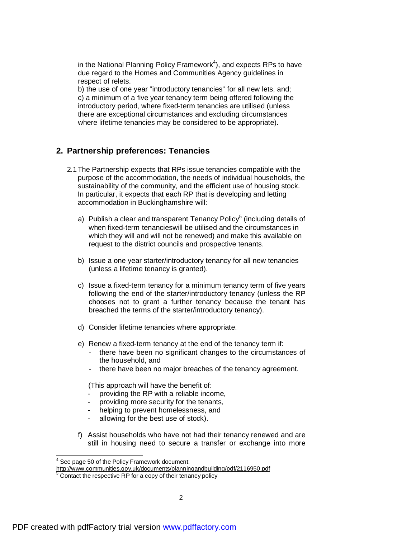in the National Planning Policy Framework<sup>4</sup>), and expects RPs to have due regard to the Homes and Communities Agency guidelines in respect of relets.

b) the use of one year "introductory tenancies" for all new lets, and; c) a minimum of a five year tenancy term being offered following the introductory period, where fixed-term tenancies are utilised (unless there are exceptional circumstances and excluding circumstances where lifetime tenancies may be considered to be appropriate).

#### **2. Partnership preferences: Tenancies**

- 2.1The Partnership expects that RPs issue tenancies compatible with the purpose of the accommodation, the needs of individual households, the sustainability of the community, and the efficient use of housing stock. In particular, it expects that each RP that is developing and letting accommodation in Buckinghamshire will:
	- a) Publish a clear and transparent Tenancy Policy<sup>5</sup> (including details of when fixed-term tenancieswill be utilised and the circumstances in which they will and will not be renewed) and make this available on request to the district councils and prospective tenants.
	- b) Issue a one year starter/introductory tenancy for all new tenancies (unless a lifetime tenancy is granted).
	- c) Issue a fixed-term tenancy for a minimum tenancy term of five years following the end of the starter/introductory tenancy (unless the RP chooses not to grant a further tenancy because the tenant has breached the terms of the starter/introductory tenancy).
	- d) Consider lifetime tenancies where appropriate.
	- e) Renew a fixed-term tenancy at the end of the tenancy term if:
		- there have been no significant changes to the circumstances of the household, and
		- there have been no major breaches of the tenancy agreement.

(This approach will have the benefit of:

- providing the RP with a reliable income,
- providing more security for the tenants,
- helping to prevent homelessness, and
- allowing for the best use of stock).
- f) Assist households who have not had their tenancy renewed and are still in housing need to secure a transfer or exchange into more

 4 See page 50 of the Policy Framework document:

<http://www.communities.gov.uk/documents/planningandbuilding/pdf/2116950.pdf>

 $5$  Contact the respective RP for a copy of their tenancy policy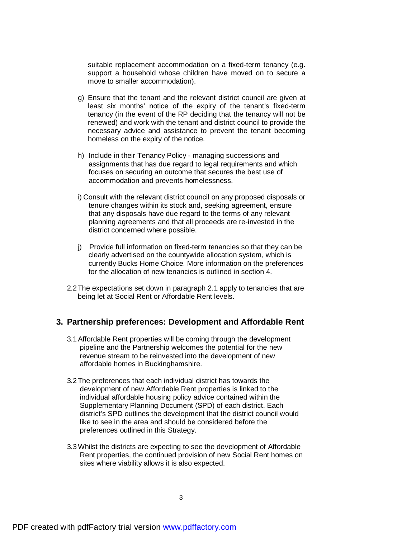suitable replacement accommodation on a fixed-term tenancy (e.g. support a household whose children have moved on to secure a move to smaller accommodation).

- g) Ensure that the tenant and the relevant district council are given at least six months' notice of the expiry of the tenant's fixed-term tenancy (in the event of the RP deciding that the tenancy will not be renewed) and work with the tenant and district council to provide the necessary advice and assistance to prevent the tenant becoming homeless on the expiry of the notice.
- h) Include in their Tenancy Policy managing successions and assignments that has due regard to legal requirements and which focuses on securing an outcome that secures the best use of accommodation and prevents homelessness.
- i) Consult with the relevant district council on any proposed disposals or tenure changes within its stock and, seeking agreement, ensure that any disposals have due regard to the terms of any relevant planning agreements and that all proceeds are re-invested in the district concerned where possible.
- j) Provide full information on fixed-term tenancies so that they can be clearly advertised on the countywide allocation system, which is currently Bucks Home Choice. More information on the preferences for the allocation of new tenancies is outlined in section 4.
- 2.2The expectations set down in paragraph 2.1 apply to tenancies that are being let at Social Rent or Affordable Rent levels.

#### **3. Partnership preferences: Development and Affordable Rent**

- 3.1Affordable Rent properties will be coming through the development pipeline and the Partnership welcomes the potential for the new revenue stream to be reinvested into the development of new affordable homes in Buckinghamshire.
- 3.2The preferences that each individual district has towards the development of new Affordable Rent properties is linked to the individual affordable housing policy advice contained within the Supplementary Planning Document (SPD) of each district. Each district's SPD outlines the development that the district council would like to see in the area and should be considered before the preferences outlined in this Strategy.
- 3.3Whilst the districts are expecting to see the development of Affordable Rent properties, the continued provision of new Social Rent homes on sites where viability allows it is also expected.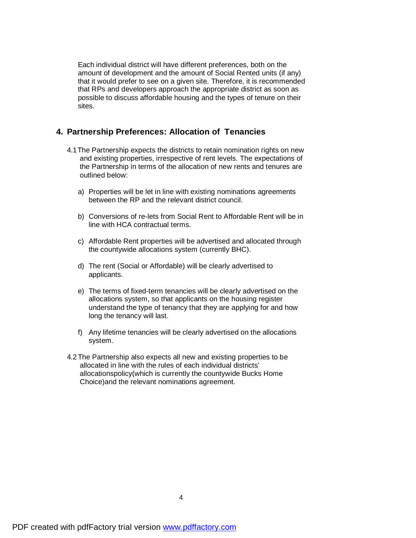Each individual district will have different preferences, both on the amount of development and the amount of Social Rented units (if any) that it would prefer to see on a given site. Therefore, it is recommended that RPs and developers approach the appropriate district as soon as possible to discuss affordable housing and the types of tenure on their sites.

#### **4. Partnership Preferences: Allocation of Tenancies**

- 4.1The Partnership expects the districts to retain nomination rights on new and existing properties, irrespective of rent levels. The expectations of the Partnership in terms of the allocation of new rents and tenures are outlined below:
	- a) Properties will be let in line with existing nominations agreements between the RP and the relevant district council.
	- b) Conversions of re-lets from Social Rent to Affordable Rent will be in line with HCA contractual terms.
	- c) Affordable Rent properties will be advertised and allocated through the countywide allocations system (currently BHC).
	- d) The rent (Social or Affordable) will be clearly advertised to applicants.
	- e) The terms of fixed-term tenancies will be clearly advertised on the allocations system, so that applicants on the housing register understand the type of tenancy that they are applying for and how long the tenancy will last.
	- f) Any lifetime tenancies will be clearly advertised on the allocations system.
- 4.2The Partnership also expects all new and existing properties to be allocated in line with the rules of each individual districts' allocationspolicy(which is currently the countywide Bucks Home Choice)and the relevant nominations agreement.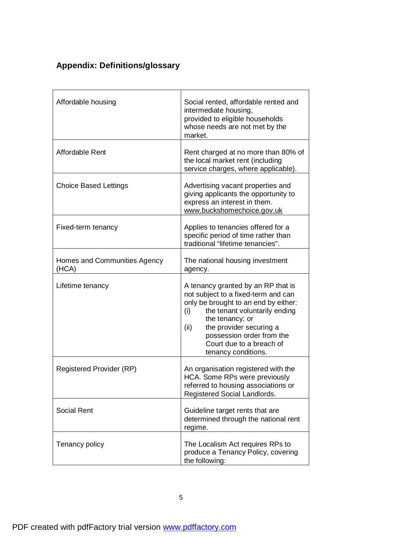## **Appendix: Definitions/glossary**

| Affordable housing                    | Social rented, affordable rented and<br>intermediate housing,<br>provided to eligible households<br>whose needs are not met by the<br>market.                                                                                                                                                   |
|---------------------------------------|-------------------------------------------------------------------------------------------------------------------------------------------------------------------------------------------------------------------------------------------------------------------------------------------------|
| Affordable Rent                       | Rent charged at no more than 80% of<br>the local market rent (including<br>service charges, where applicable).                                                                                                                                                                                  |
| <b>Choice Based Lettings</b>          | Advertising vacant properties and<br>giving applicants the opportunity to<br>express an interest in them.<br>www.buckshomechoice.gov.uk                                                                                                                                                         |
| Fixed-term tenancy                    | Applies to tenancies offered for a<br>specific period of time rather than<br>traditional "lifetime tenancies".                                                                                                                                                                                  |
| Homes and Communities Agency<br>(HCA) | The national housing investment<br>agency.                                                                                                                                                                                                                                                      |
| Lifetime tenancy                      | A tenancy granted by an RP that is<br>not subject to a fixed-term and can<br>only be brought to an end by either:<br>the tenant voluntarily ending<br>(i)<br>the tenancy; or<br>the provider securing a<br>(ii)<br>possession order from the<br>Court due to a breach of<br>tenancy conditions. |
| Registered Provider (RP)              | An organisation registered with the<br>HCA. Some RPs were previously<br>referred to housing associations or<br>Registered Social Landlords.                                                                                                                                                     |
| <b>Social Rent</b>                    | Guideline target rents that are<br>determined through the national rent<br>regime.                                                                                                                                                                                                              |
| Tenancy policy                        | The Localism Act requires RPs to<br>produce a Tenancy Policy, covering<br>the following:                                                                                                                                                                                                        |